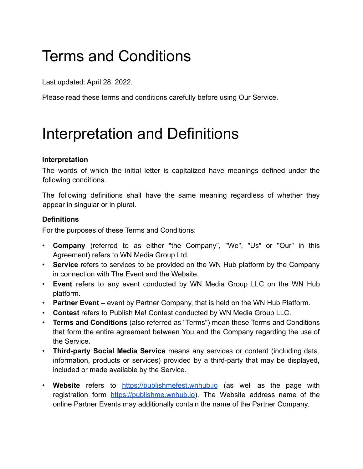# Terms and Conditions

Last updated: April 28, 2022.

Please read these terms and conditions carefully before using Our Service.

### Interpretation and Definitions

#### **Interpretation**

The words of which the initial letter is capitalized have meanings defined under the following conditions.

The following definitions shall have the same meaning regardless of whether they appear in singular or in plural.

#### **Definitions**

For the purposes of these Terms and Conditions:

- **Company** (referred to as either "the Company", "We", "Us" or "Our" in this Agreement) refers to WN Media Group Ltd.
- **Service** refers to services to be provided on the WN Hub platform by the Company in connection with The Event and the Website.
- **Event** refers to any event conducted by WN Media Group LLC on the WN Hub platform.
- **Partner Event –** event by Partner Company, that is held on the WN Hub Platform.
- **Contest** refers to Publish Me! Contest conducted by WN Media Group LLC.
- **Terms and Conditions** (also referred as "Terms") mean these Terms and Conditions that form the entire agreement between You and the Company regarding the use of the Service.
- **Third-party Social Media Service** means any services or content (including data, information, products or services) provided by a third-party that may be displayed, included or made available by the Service.
- **Website** refers to <https://publishmefest.wnhub.io> (as well as the page with registration form [https://publishme.wnhub.io\)](https://publishme.wnhub.io). The Website address name of the online Partner Events may additionally contain the name of the Partner Company.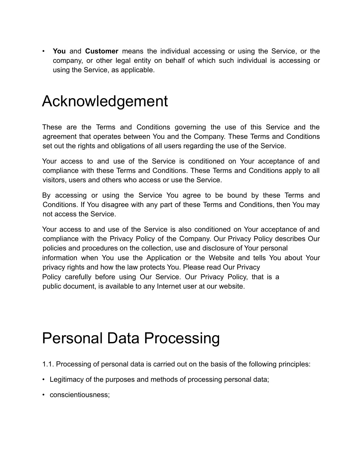• **You** and **Customer** means the individual accessing or using the Service, or the company, or other legal entity on behalf of which such individual is accessing or using the Service, as applicable.

#### Acknowledgement

These are the Terms and Conditions governing the use of this Service and the agreement that operates between You and the Company. These Terms and Conditions set out the rights and obligations of all users regarding the use of the Service.

Your access to and use of the Service is conditioned on Your acceptance of and compliance with these Terms and Conditions. These Terms and Conditions apply to all visitors, users and others who access or use the Service.

By accessing or using the Service You agree to be bound by these Terms and Conditions. If You disagree with any part of these Terms and Conditions, then You may not access the Service.

Your access to and use of the Service is also conditioned on Your acceptance of and compliance with the Privacy Policy of the Company. Our Privacy Policy describes Our policies and procedures on the collection, use and disclosure of Your personal information when You use the Application or the Website and tells You about Your privacy rights and how the law protects You. Please read Our Privacy Policy carefully before using Our Service. Our Privacy Policy, that is a public document, is available to any Internet user at our website.

#### Personal Data Processing

- 1.1. Processing of personal data is carried out on the basis of the following principles:
- Legitimacy of the purposes and methods of processing personal data;
- conscientiousness;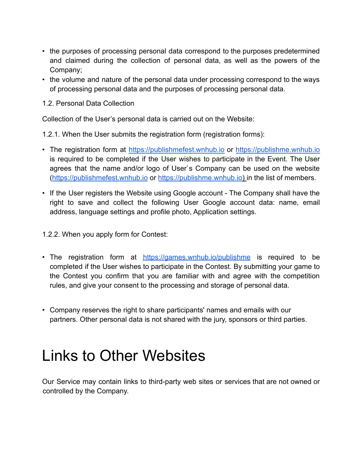- the purposes of processing personal data correspond to the purposes predetermined and claimed during the collection of personal data, as well as the powers of the Company;
- the volume and nature of the personal data under processing correspond to the ways of processing personal data and the purposes of processing personal data.
- 1.2. Personal Data Collection

Collection of the User's personal data is carried out on the Website:

1.2.1. When the User submits the registration form (registration forms):

- The registration form at [https://publishmefest.wnhub.io](https://publishmefest.wnhub.io/) or <https://publishme.wnhub.io> is required to be completed if the User wishes to participate in the Event. The User agrees that the name and/or logo of User`s Company can be used on the website ([https://publishmefest.wnhub.io](https://publishmefest.wnhub.io/) or [https://publishme.wnhub.io\)](https://publishme.wnhub.io) in the list of members.
- If the User registers the Website using Google account The Company shall have the right to save and collect the following User Google account data: name, email address, language settings and profile photo, Application settings.

1.2.2. When you apply form for Contest:

- The registration form at <https://games.wnhub.io/publishme> is required to be completed if the User wishes to participate in the Contest. By submitting your game to the Contest you confirm that you are familiar with and agree with the competition rules, and give your consent to the processing and storage of personal data.
- Company reserves the right to share participants' names and emails with our partners. Other personal data is not shared with the jury, sponsors or third parties.

### Links to Other Websites

Our Service may contain links to third-party web sites or services that are not owned or controlled by the Company.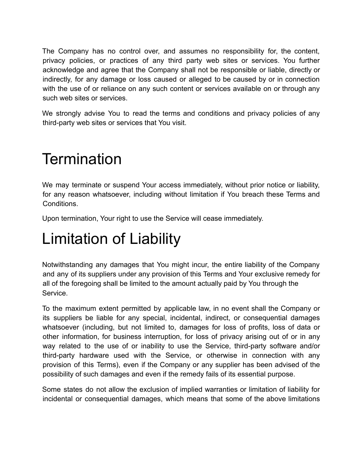The Company has no control over, and assumes no responsibility for, the content, privacy policies, or practices of any third party web sites or services. You further acknowledge and agree that the Company shall not be responsible or liable, directly or indirectly, for any damage or loss caused or alleged to be caused by or in connection with the use of or reliance on any such content or services available on or through any such web sites or services.

We strongly advise You to read the terms and conditions and privacy policies of any third-party web sites or services that You visit.

### **Termination**

We may terminate or suspend Your access immediately, without prior notice or liability, for any reason whatsoever, including without limitation if You breach these Terms and Conditions.

Upon termination, Your right to use the Service will cease immediately.

### Limitation of Liability

Notwithstanding any damages that You might incur, the entire liability of the Company and any of its suppliers under any provision of this Terms and Your exclusive remedy for all of the foregoing shall be limited to the amount actually paid by You through the Service.

To the maximum extent permitted by applicable law, in no event shall the Company or its suppliers be liable for any special, incidental, indirect, or consequential damages whatsoever (including, but not limited to, damages for loss of profits, loss of data or other information, for business interruption, for loss of privacy arising out of or in any way related to the use of or inability to use the Service, third-party software and/or third-party hardware used with the Service, or otherwise in connection with any provision of this Terms), even if the Company or any supplier has been advised of the possibility of such damages and even if the remedy fails of its essential purpose.

Some states do not allow the exclusion of implied warranties or limitation of liability for incidental or consequential damages, which means that some of the above limitations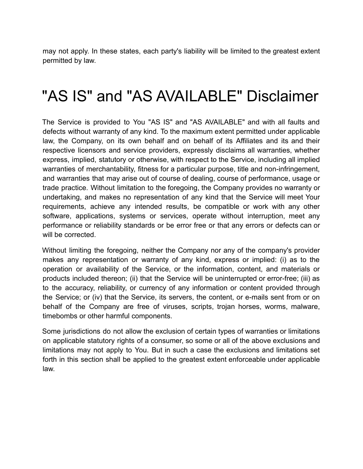may not apply. In these states, each party's liability will be limited to the greatest extent permitted by law.

### "AS IS" and "AS AVAILABLE" Disclaimer

The Service is provided to You "AS IS" and "AS AVAILABLE" and with all faults and defects without warranty of any kind. To the maximum extent permitted under applicable law, the Company, on its own behalf and on behalf of its Affiliates and its and their respective licensors and service providers, expressly disclaims all warranties, whether express, implied, statutory or otherwise, with respect to the Service, including all implied warranties of merchantability, fitness for a particular purpose, title and non-infringement, and warranties that may arise out of course of dealing, course of performance, usage or trade practice. Without limitation to the foregoing, the Company provides no warranty or undertaking, and makes no representation of any kind that the Service will meet Your requirements, achieve any intended results, be compatible or work with any other software, applications, systems or services, operate without interruption, meet any performance or reliability standards or be error free or that any errors or defects can or will be corrected.

Without limiting the foregoing, neither the Company nor any of the company's provider makes any representation or warranty of any kind, express or implied: (i) as to the operation or availability of the Service, or the information, content, and materials or products included thereon; (ii) that the Service will be uninterrupted or error-free; (iii) as to the accuracy, reliability, or currency of any information or content provided through the Service; or (iv) that the Service, its servers, the content, or e-mails sent from or on behalf of the Company are free of viruses, scripts, trojan horses, worms, malware, timebombs or other harmful components.

Some jurisdictions do not allow the exclusion of certain types of warranties or limitations on applicable statutory rights of a consumer, so some or all of the above exclusions and limitations may not apply to You. But in such a case the exclusions and limitations set forth in this section shall be applied to the greatest extent enforceable under applicable law.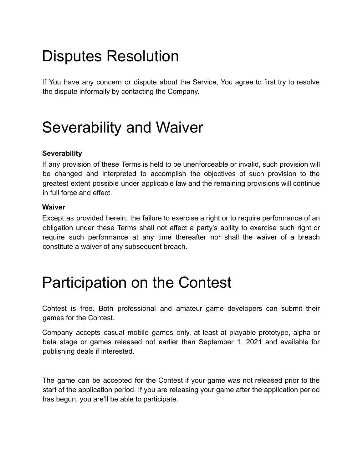### Disputes Resolution

If You have any concern or dispute about the Service, You agree to first try to resolve the dispute informally by contacting the Company.

### Severability and Waiver

#### **Severability**

If any provision of these Terms is held to be unenforceable or invalid, such provision will be changed and interpreted to accomplish the objectives of such provision to the greatest extent possible under applicable law and the remaining provisions will continue in full force and effect.

#### **Waiver**

Except as provided herein, the failure to exercise a right or to require performance of an obligation under these Terms shall not affect a party's ability to exercise such right or require such performance at any time thereafter nor shall the waiver of a breach constitute a waiver of any subsequent breach.

### Participation on the Contest

Contest is free. Both professional and amateur game developers can submit their games for the Contest.

Company accepts casual mobile games only, at least at playable prototype, alpha or beta stage or games released not earlier than September 1, 2021 and available for publishing deals if interested.

The game can be accepted for the Contest if your game was not released prior to the start of the application period. If you are releasing your game after the application period has begun, you are'll be able to participate.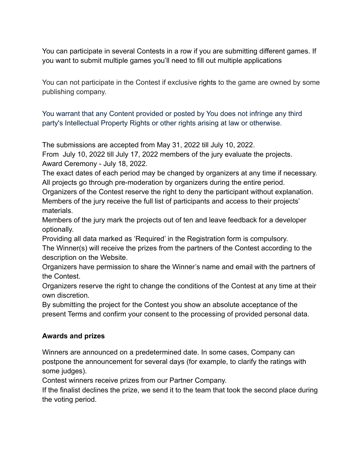You can participate in several Contests in a row if you are submitting different games. If you want to submit multiple games you'll need to fill out multiple applications

You can not participate in the Contest if exclusive rights to the game are owned by some publishing company.

You warrant that any Content provided or posted by You does not infringe any third party's Intellectual Property Rights or other rights arising at law or otherwise.

The submissions are accepted from May 31, 2022 till July 10, 2022.

From July 10, 2022 till July 17, 2022 members of the jury evaluate the projects. Award Ceremony - July 18, 2022.

The exact dates of each period may be changed by organizers at any time if necessary. All projects go through pre-moderation by organizers during the entire period.

Organizers of the Contest reserve the right to deny the participant without explanation. Members of the jury receive the full list of participants and access to their projects' materials.

Members of the jury mark the projects out of ten and leave feedback for a developer optionally.

Providing all data marked as 'Required' in the Registration form is compulsory.

The Winner(s) will receive the prizes from the partners of the Contest according to the description on the Website.

Organizers have permission to share the Winner's name and email with the partners of the Contest.

Organizers reserve the right to change the conditions of the Contest at any time at their own discretion.

By submitting the project for the Contest you show an absolute acceptance of the present Terms and confirm your consent to the processing of provided personal data.

#### **Awards and prizes**

Winners are announced on a predetermined date. In some cases, Company can postpone the announcement for several days (for example, to clarify the ratings with some judges).

Contest winners receive prizes from our Partner Company.

If the finalist declines the prize, we send it to the team that took the second place during the voting period.